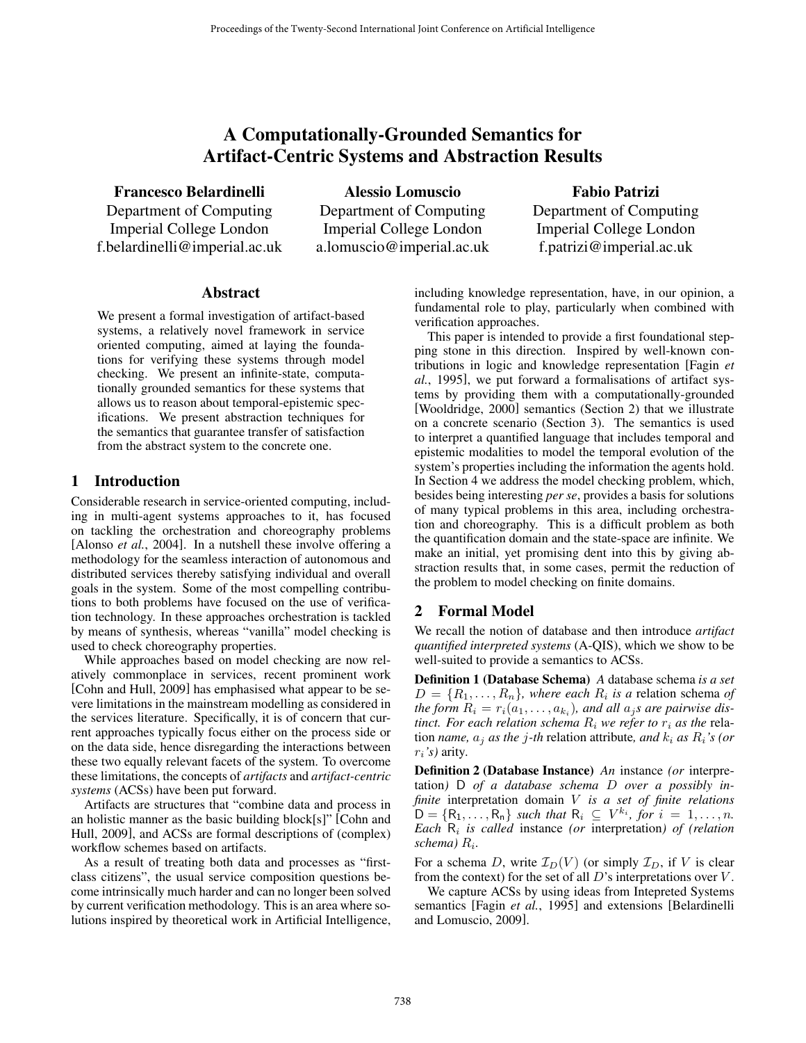# A Computationally-Grounded Semantics for Artifact-Centric Systems and Abstraction Results

Francesco Belardinelli

Department of Computing Imperial College London f.belardinelli@imperial.ac.uk

Alessio Lomuscio Department of Computing Imperial College London a.lomuscio@imperial.ac.uk

Fabio Patrizi Department of Computing Imperial College London f.patrizi@imperial.ac.uk

# Abstract

We present a formal investigation of artifact-based systems, a relatively novel framework in service oriented computing, aimed at laying the foundations for verifying these systems through model checking. We present an infinite-state, computationally grounded semantics for these systems that allows us to reason about temporal-epistemic specifications. We present abstraction techniques for the semantics that guarantee transfer of satisfaction from the abstract system to the concrete one.

# 1 Introduction

Considerable research in service-oriented computing, including in multi-agent systems approaches to it, has focused on tackling the orchestration and choreography problems [Alonso *et al.*, 2004]. In a nutshell these involve offering a methodology for the seamless interaction of autonomous and distributed services thereby satisfying individual and overall goals in the system. Some of the most compelling contributions to both problems have focused on the use of verification technology. In these approaches orchestration is tackled by means of synthesis, whereas "vanilla" model checking is used to check choreography properties.

While approaches based on model checking are now relatively commonplace in services, recent prominent work [Cohn and Hull, 2009] has emphasised what appear to be severe limitations in the mainstream modelling as considered in the services literature. Specifically, it is of concern that current approaches typically focus either on the process side or on the data side, hence disregarding the interactions between these two equally relevant facets of the system. To overcome these limitations, the concepts of *artifacts* and *artifact-centric systems* (ACSs) have been put forward.

Artifacts are structures that "combine data and process in an holistic manner as the basic building block[s]" [Cohn and Hull, 2009], and ACSs are formal descriptions of (complex) workflow schemes based on artifacts.

As a result of treating both data and processes as "firstclass citizens", the usual service composition questions become intrinsically much harder and can no longer been solved by current verification methodology. This is an area where solutions inspired by theoretical work in Artificial Intelligence, including knowledge representation, have, in our opinion, a fundamental role to play, particularly when combined with verification approaches.

This paper is intended to provide a first foundational stepping stone in this direction. Inspired by well-known contributions in logic and knowledge representation [Fagin *et al.*, 1995], we put forward a formalisations of artifact systems by providing them with a computationally-grounded [Wooldridge, 2000] semantics (Section 2) that we illustrate on a concrete scenario (Section 3). The semantics is used to interpret a quantified language that includes temporal and epistemic modalities to model the temporal evolution of the system's properties including the information the agents hold. In Section 4 we address the model checking problem, which, besides being interesting *per se*, provides a basis for solutions of many typical problems in this area, including orchestration and choreography. This is a difficult problem as both the quantification domain and the state-space are infinite. We make an initial, yet promising dent into this by giving abstraction results that, in some cases, permit the reduction of the problem to model checking on finite domains.

# 2 Formal Model

We recall the notion of database and then introduce *artifact quantified interpreted systems* (A-QIS), which we show to be well-suited to provide a semantics to ACSs.

Definition 1 (Database Schema) *A* database schema *is a set*  $D = \{R_1, \ldots, R_n\}$ , where each  $R_i$  is a relation schema of *the form*  $R_i = r_i(a_1, \ldots, a_{k_i})$ *, and all*  $a_j$ *s are pairwise distinct. For each relation schema*  $R_i$  *we refer to*  $r_i$  *as the* relation *name*,  $a_j$  *as the j*-th relation attribute, and  $k_i$  *as*  $R_i$ 's (*or*  $r_i$ *'s*) arity.

Definition 2 (Database Instance) *An* instance *(or* interpretation*)* D *of a database schema* D *over a possibly infinite* interpretation domain V *is a set of finite relations*  $D = \{R_1, \ldots, R_n\}$  *such that*  $R_i \subseteq V^{k_i}$ , for  $i = 1, \ldots, n$ . *Each*  $R_i$  *is called* instance *(or interpretation) of (relation*) *schema)* Ri*.*

For a schema D, write  $\mathcal{I}_D(V)$  (or simply  $\mathcal{I}_D$ , if V is clear from the context) for the set of all  $D$ 's interpretations over  $V$ .

We capture ACSs by using ideas from Intepreted Systems semantics [Fagin *et al.*, 1995] and extensions [Belardinelli and Lomuscio, 2009].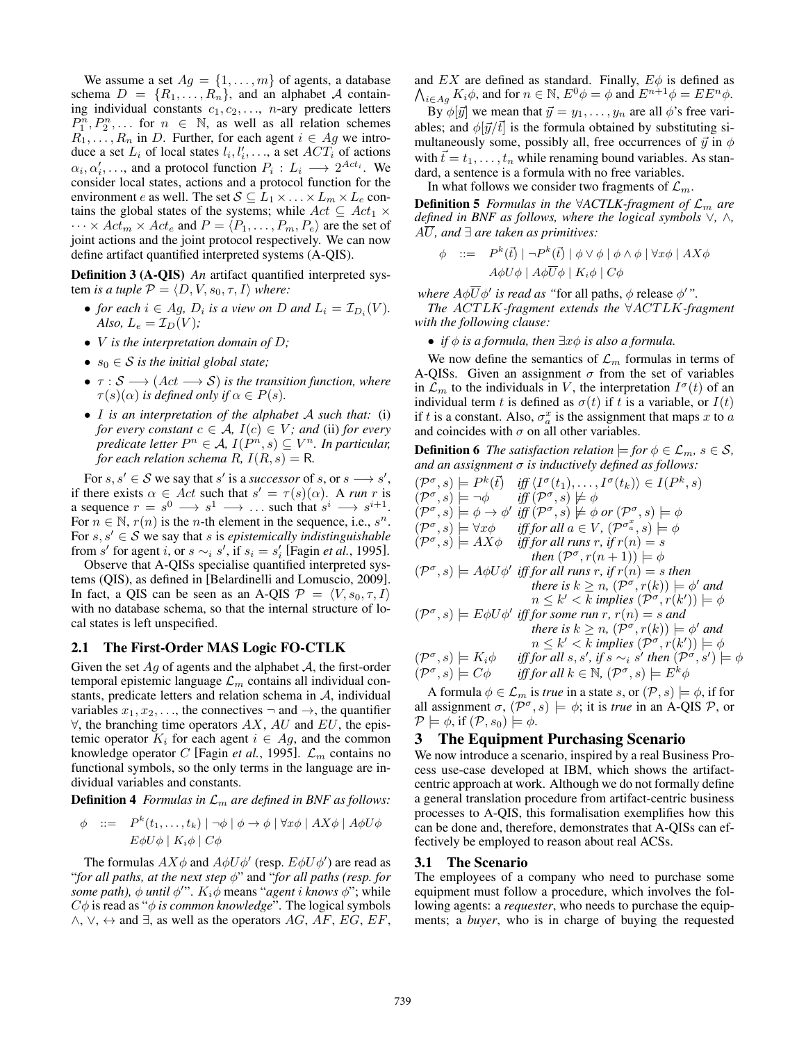We assume a set  $Ag = \{1, \ldots, m\}$  of agents, a database schema  $D = \{R_1, \ldots, R_n\}$ , and an alphabet A containing individual constants  $c_1, c_2, \ldots$ , *n*-ary predicate letters  $P_1^n, P_2^n, \ldots$  for  $n \in \mathbb{N}$ , as well as all relation schemes  $R_1, \ldots, R_n$  in D. Further, for each agent  $i \in Ag$  we introduce a set  $L_i$  of local states  $l_i, l'_i, \ldots$ , a set  $ACT_i$  of actions  $\alpha_i, \alpha'_i, \ldots$ , and a protocol function  $P_i: L_i \longrightarrow 2^{Act_i}$ . We consider local states, actions and a protocol function for the environment e as well. The set  $S \subseteq L_1 \times ... \times L_m \times L_e$  contains the global states of the systems; while  $Act \subseteq Act_1 \times$  $\cdots \times Act_m \times Act_e$  and  $P = \langle P_1, \ldots, P_m, P_e \rangle$  are the set of joint actions and the joint protocol respectively. We can now define artifact quantified interpreted systems (A-QIS).

Definition 3 (A-QIS) *An* artifact quantified interpreted system *is a tuple*  $P = \langle D, V, s_0, \tau, I \rangle$  *where:* 

- *for each*  $i \in Ag$ ,  $D_i$  *is a view on*  $D$  *and*  $L_i = \mathcal{I}_{D_i}(V)$ *. Also,*  $L_e = \mathcal{I}_D(V)$ *;*
- V *is the interpretation domain of* D*;*
- $s_0 \in S$  *is the initial global state;*
- $\tau : \mathcal{S} \longrightarrow (Act \longrightarrow \mathcal{S})$  *is the transition function, where*  $\tau(s)(\alpha)$  *is defined only if*  $\alpha \in P(s)$ *.*
- I *is an interpretation of the alphabet* A *such that:* (i) *for every constant*  $c \in A$ *,*  $I(c) \in V$ *; and* (ii) *for every predicate letter*  $P^n \in \mathcal{A}$ ,  $I(P^n, s) \subseteq V^n$ . In particular, *for each relation schema*  $R$ ,  $I(R, s) = R$ .

For  $s, s' \in S$  we say that s' is a *successor* of s, or  $s \longrightarrow s'$ , if there exists  $\alpha \in Act$  such that  $s' = \tau(s)(\alpha)$ . A *run* r is a sequence  $r = s^0 \longrightarrow s^1 \longrightarrow \dots$  such that  $s^i \longrightarrow s^{i+1}$ . For  $n \in \mathbb{N}$ ,  $r(n)$  is the *n*-th element in the sequence, i.e.,  $s^n$ . For  $s, s' \in S$  we say that s is *epistemically indistinguishable* from s' for agent i, or  $s \sim_i s'$ , if  $s_i = s'_i$  [Fagin *et al.*, 1995].

Observe that A-QISs specialise quantified interpreted systems (QIS), as defined in [Belardinelli and Lomuscio, 2009]. In fact, a QIS can be seen as an A-QIS  $\mathcal{P} = \langle V, s_0, \tau, I \rangle$ with no database schema, so that the internal structure of local states is left unspecified.

#### 2.1 The First-Order MAS Logic FO-CTLK

Given the set  $Ag$  of agents and the alphabet  $A$ , the first-order temporal epistemic language  $\mathcal{L}_m$  contains all individual constants, predicate letters and relation schema in  $A$ , individual variables  $x_1, x_2, \ldots$ , the connectives  $\neg$  and  $\rightarrow$ , the quantifier  $\forall$ , the branching time operators AX, AU and EU, the epistemic operator  $K_i$  for each agent  $i \in Ag$ , and the common knowledge operator C [Fagin *et al.*, 1995].  $\mathcal{L}_m$  contains no functional symbols, so the only terms in the language are individual variables and constants.

**Definition 4** *Formulas in*  $\mathcal{L}_m$  *are defined in BNF as follows:* 

$$
\phi ::= P^{k}(t_{1},...,t_{k}) | \neg \phi | \phi \rightarrow \phi | \forall x \phi | AX\phi | A\phi U\phi
$$
  
 
$$
E\phi U\phi | K_{i}\phi | C\phi
$$

The formulas  $AX\phi$  and  $A\phi U\phi'$  (resp.  $E\phi U\phi'$ ) are read as "*for all paths, at the next step* φ" and "*for all paths (resp. for some path),*  $\phi$  *until*  $\phi''$ .  $K_i\phi$  means "*agent i knows*  $\phi''$ ; while  $C\phi$  is read as " $\phi$  *is common knowledge*". The logical symbols  $\land$ ,  $\lor$ ,  $\leftrightarrow$  and  $\exists$ , as well as the operators AG, AF, EG, EF, and  $EX$  are defined as standard. Finally,  $E\phi$  is defined as  $\bigwedge_{i\in Ag} K_i\phi$ , and for  $n \in \mathbb{N}$ ,  $E^0\phi = \phi$  and  $E^{n+1}\phi = E E^n \phi$ .

By  $\phi[\vec{y}]$  we mean that  $\vec{y} = y_1, \dots, y_n$  are all  $\phi$ 's free variables; and  $\phi[\vec{y}/\vec{t}]$  is the formula obtained by substituting simultaneously some, possibly all, free occurrences of  $\vec{y}$  in  $\phi$ with  $\vec{t} = t_1, \ldots, t_n$  while renaming bound variables. As standard, a sentence is a formula with no free variables.

In what follows we consider two fragments of  $\mathcal{L}_m$ .

**Definition 5** *Formulas in the*  $\forall$ *ACTLK-fragment of*  $\mathcal{L}_m$  *are defined in BNF as follows, where the logical symbols* ∨*,* ∧*,*  $A\overline{U}$ *, and*  $\exists$  *are taken as primitives:* 

$$
\phi \quad ::= \quad P^k(\vec{t}) \mid \neg P^k(\vec{t}) \mid \phi \lor \phi \mid \phi \land \phi \mid \forall x \phi \mid AX\phi
$$
\n
$$
A\phi U\phi \mid A\phi \overline{U}\phi \mid K_i\phi \mid C\phi
$$

*where*  $A\phi\overline{U}\phi'$  *is read as "for all paths,*  $\phi$  *release*  $\phi'$ *".* 

*The* ACT LK*-fragment extends the* ∀ACT LK*-fragment with the following clause:*

• *if* φ *is a formula, then* ∃xφ *is also a formula.*

We now define the semantics of  $\mathcal{L}_m$  formulas in terms of A-QISs. Given an assignment  $\sigma$  from the set of variables in  $\mathcal{L}_m$  to the individuals in V, the interpretation  $I^{\sigma}(t)$  of an individual term t is defined as  $\sigma(t)$  if t is a variable, or  $I(t)$ if t is a constant. Also,  $\sigma_a^x$  is the assignment that maps x to a and coincides with  $\sigma$  on all other variables.

**Definition 6** *The satisfaction relation*  $\models$  *for*  $\phi \in \mathcal{L}_m$ ,  $s \in \mathcal{S}$ *, and an assignment* σ *is inductively defined as follows:*

$$
(\mathcal{P}^{\sigma}, s) \models P^{k}(\vec{t}) \quad \text{iff} \quad \langle I^{\sigma}(t_{1}), \ldots, I^{\sigma}(t_{k}) \rangle \in I(P^{k}, s)
$$
\n
$$
(\mathcal{P}^{\sigma}, s) \models \neg \phi \quad \text{iff} \quad (\mathcal{P}^{\sigma}, s) \not\models \phi
$$
\n
$$
(\mathcal{P}^{\sigma}, s) \models \phi \rightarrow \phi' \quad \text{iff} \quad (\mathcal{P}^{\sigma}, s) \not\models \phi \text{ or } (\mathcal{P}^{\sigma}, s) \models \phi
$$
\n
$$
(\mathcal{P}^{\sigma}, s) \models \forall x \phi \quad \text{iff} \quad \text{for all } a \in V, (\mathcal{P}^{\sigma_{a}^{*}}, s) \models \phi
$$
\n
$$
(\mathcal{P}^{\sigma}, s) \models AX\phi \quad \text{iff} \quad \text{for all runs } r, \text{ if } r(n) = s
$$
\n
$$
(\mathcal{P}^{\sigma}, s) \models A\phi U\phi' \quad \text{iff} \quad \text{for all runs } r, \text{ if } r(n) = s \text{ then}
$$
\n
$$
(\mathcal{P}^{\sigma}, s) \models A\phi U\phi' \quad \text{iff} \quad \text{for all runs } r, \text{ if } r(n) = s \text{ then}
$$
\n
$$
t = s \times n, (\mathcal{P}^{\sigma}, r(k)) \models \phi' \text{ and}
$$
\n
$$
n \leq k' < k \text{ implies } (\mathcal{P}^{\sigma}, r(k)) \models \phi'
$$
\n
$$
(\mathcal{P}^{\sigma}, s) \models E\phi U\phi' \quad \text{iff} \quad \text{for all } s, s', \text{ if } s \sim_i s' \text{ then } (\mathcal{P}^{\sigma}, s') \models \phi
$$
\n
$$
(\mathcal{P}^{\sigma}, s) \models K_i \phi \quad \text{iff} \quad \text{for all } s, s', \text{ if } s \sim_i s' \text{ then } (\mathcal{P}^{\sigma}, s') \models \phi
$$
\n
$$
(\mathcal{P}^{\sigma}, s) \models C\phi \quad \text{iff} \quad \text{for all } k \in \mathbb{N}, (\mathcal{P}^{\sigma}, s) \models E^{k
$$

A formula  $\phi \in \mathcal{L}_m$  is *true* in a state s, or  $(\mathcal{P}, s) \models \phi$ , if for all assignment  $\sigma$ ,  $(\mathcal{P}^{\sigma}, s) \models \phi$ ; it is *true* in an A-QIS P, or  $\mathcal{P} \models \phi$ , if  $(\mathcal{P}, s_0) \models \phi$ .

#### 3 The Equipment Purchasing Scenario

We now introduce a scenario, inspired by a real Business Process use-case developed at IBM, which shows the artifactcentric approach at work. Although we do not formally define a general translation procedure from artifact-centric business processes to A-QIS, this formalisation exemplifies how this can be done and, therefore, demonstrates that A-QISs can effectively be employed to reason about real ACSs.

#### 3.1 The Scenario

The employees of a company who need to purchase some equipment must follow a procedure, which involves the following agents: a *requester*, who needs to purchase the equipments; a *buyer*, who is in charge of buying the requested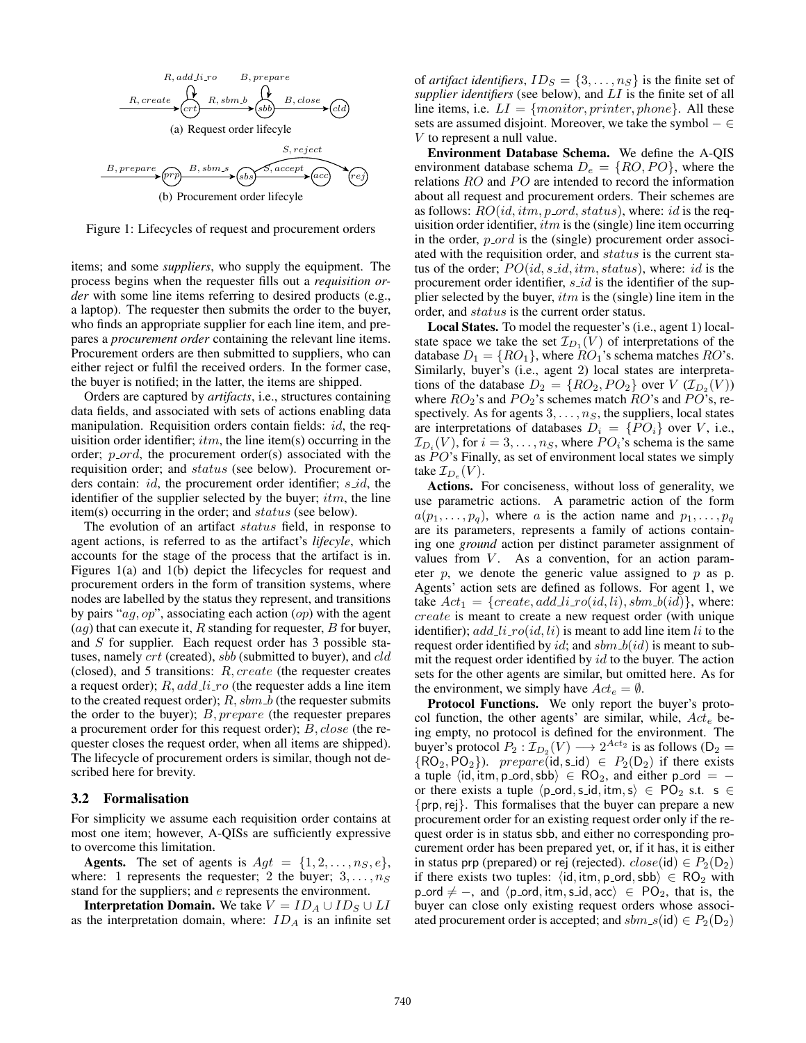

Figure 1: Lifecycles of request and procurement orders

items; and some *suppliers*, who supply the equipment. The process begins when the requester fills out a *requisition order* with some line items referring to desired products (e.g., a laptop). The requester then submits the order to the buyer, who finds an appropriate supplier for each line item, and prepares a *procurement order* containing the relevant line items. Procurement orders are then submitted to suppliers, who can either reject or fulfil the received orders. In the former case, the buyer is notified; in the latter, the items are shipped.

Orders are captured by *artifacts*, i.e., structures containing data fields, and associated with sets of actions enabling data manipulation. Requisition orders contain fields: id, the requisition order identifier;  $itm$ , the line item(s) occurring in the order;  $p\_{ord}$ , the procurement order(s) associated with the requisition order; and status (see below). Procurement orders contain:  $id$ , the procurement order identifier;  $s_id$ , the identifier of the supplier selected by the buyer;  $itm$ , the line item(s) occurring in the order; and status (see below).

The evolution of an artifact status field, in response to agent actions, is referred to as the artifact's *lifecyle*, which accounts for the stage of the process that the artifact is in. Figures 1(a) and 1(b) depict the lifecycles for request and procurement orders in the form of transition systems, where nodes are labelled by the status they represent, and transitions by pairs " $ag, op$ ", associating each action  $(op)$  with the agent  $(ag)$  that can execute it, R standing for requester, B for buyer, and S for supplier. Each request order has 3 possible statuses, namely *crt* (created), *sbb* (submitted to buyer), and *cld* (closed), and 5 transitions: R, create (the requester creates a request order);  $R, add\_li\_ro$  (the requester adds a line item to the created request order);  $R$ ,  $sbm_b$  (the requester submits the order to the buyer);  $B, prepare$  (the requester prepares a procurement order for this request order); B, close (the requester closes the request order, when all items are shipped). The lifecycle of procurement orders is similar, though not described here for brevity.

#### 3.2 Formalisation

For simplicity we assume each requisition order contains at most one item; however, A-QISs are sufficiently expressive to overcome this limitation.

**Agents.** The set of agents is  $Agt = \{1, 2, ..., n_S, e\},\$ where: 1 represents the requester; 2 the buyer;  $3, \ldots, n_S$ stand for the suppliers; and e represents the environment.

**Interpretation Domain.** We take  $V = ID_A \cup ID_S \cup LI$ as the interpretation domain, where:  $ID_A$  is an infinite set of *artifact identifiers*,  $ID_S = \{3, \ldots, n_S\}$  is the finite set of *supplier identifiers* (see below), and LI is the finite set of all line items, i.e.  $LI = \{monitor, printer, phone\}$ . All these sets are assumed disjoint. Moreover, we take the symbol  $-\in$ V to represent a null value.

Environment Database Schema. We define the A-QIS environment database schema  $D_e = \{RO, PO\}$ , where the relations  $RO$  and  $PO$  are intended to record the information about all request and procurement orders. Their schemes are as follows:  $RO(id, itm, p\text{-}ord, status)$ , where: id is the requisition order identifier,  $itm$  is the (single) line item occurring in the order,  $p\_{ord}$  is the (single) procurement order associated with the requisition order, and status is the current status of the order;  $PO(id, s\_id, itm, status)$ , where: id is the procurement order identifier,  $s$ <sub>-id</sub> is the identifier of the supplier selected by the buyer,  $itm$  is the (single) line item in the order, and status is the current order status.

Local States. To model the requester's (i.e., agent 1) localstate space we take the set  $\mathcal{I}_{D_1}(V)$  of interpretations of the database  $D_1 = \{RO_1\}$ , where  $RO_1$ 's schema matches  $RO$ 's. Similarly, buyer's (i.e., agent 2) local states are interpretations of the database  $D_2 = \{RO_2, PO_2\}$  over  $V (I_{D_2}(V))$ where  $RO_2$ 's and  $PO_2$ 's schemes match  $RO$ 's and  $PO$ 's, respectively. As for agents  $3, \ldots, n<sub>S</sub>$ , the suppliers, local states are interpretations of databases  $D_i = \{P O_i\}$  over V, i.e.,  $\mathcal{I}_{D_i}(V)$ , for  $i = 3, \ldots, n_S$ , where  $PO_i$ 's schema is the same as  $PO$ 's Finally, as set of environment local states we simply take  $\mathcal{I}_{D_e}(V)$ .

Actions. For conciseness, without loss of generality, we use parametric actions. A parametric action of the form  $a(p_1,\ldots,p_q)$ , where a is the action name and  $p_1,\ldots,p_q$ are its parameters, represents a family of actions containing one *ground* action per distinct parameter assignment of values from  $V$ . As a convention, for an action parameter  $p$ , we denote the generic value assigned to  $p$  as  $p$ . Agents' action sets are defined as follows. For agent 1, we take  $Act_1 = \{create, add\_li\_ro(id, li), sbm\_b(id)\},$  where: create is meant to create a new request order (with unique identifier);  $add\_li\_ro(id, li)$  is meant to add line item li to the request order identified by  $id$ ; and  $sbm_b(id)$  is meant to submit the request order identified by  $id$  to the buyer. The action sets for the other agents are similar, but omitted here. As for the environment, we simply have  $Act_e = \emptyset$ .

Protocol Functions. We only report the buyer's protocol function, the other agents' are similar, while,  $Act_e$  being empty, no protocol is defined for the environment. The buyer's protocol  $P_2 : \mathcal{I}_{D_2}(V) \longrightarrow 2^{Act_2}$  is as follows ( $D_2 =$  $\{RO_2, PO_2\}$ ). prepare(id, s\_id)  $\in P_2(D_2)$  if there exists a tuple  $\langle id, \text{itm}, p\text{-ord}, \text{sbb} \rangle \in \text{RO}_2$ , and either p\_ord = or there exists a tuple  $\langle p\_{ord}, s\_{id}, \text{itm}, s \rangle \in PQ_2 \text{ s.t. } s \in$  ${prp, rej}$ . This formalises that the buyer can prepare a new procurement order for an existing request order only if the request order is in status sbb, and either no corresponding procurement order has been prepared yet, or, if it has, it is either in status prp (prepared) or rej (rejected).  $close(id) \in P_2(D_2)$ if there exists two tuples:  $\langle id, \text{itm}, p \text{-ord}, \text{sbb} \rangle \in \text{RO}_2$  with p ord  $\neq$  –, and  $\langle$  p ord, itm, s id, acc $\rangle \in PO_2$ , that is, the buyer can close only existing request orders whose associated procurement order is accepted; and  $sbm_s(id) \in P_2(D_2)$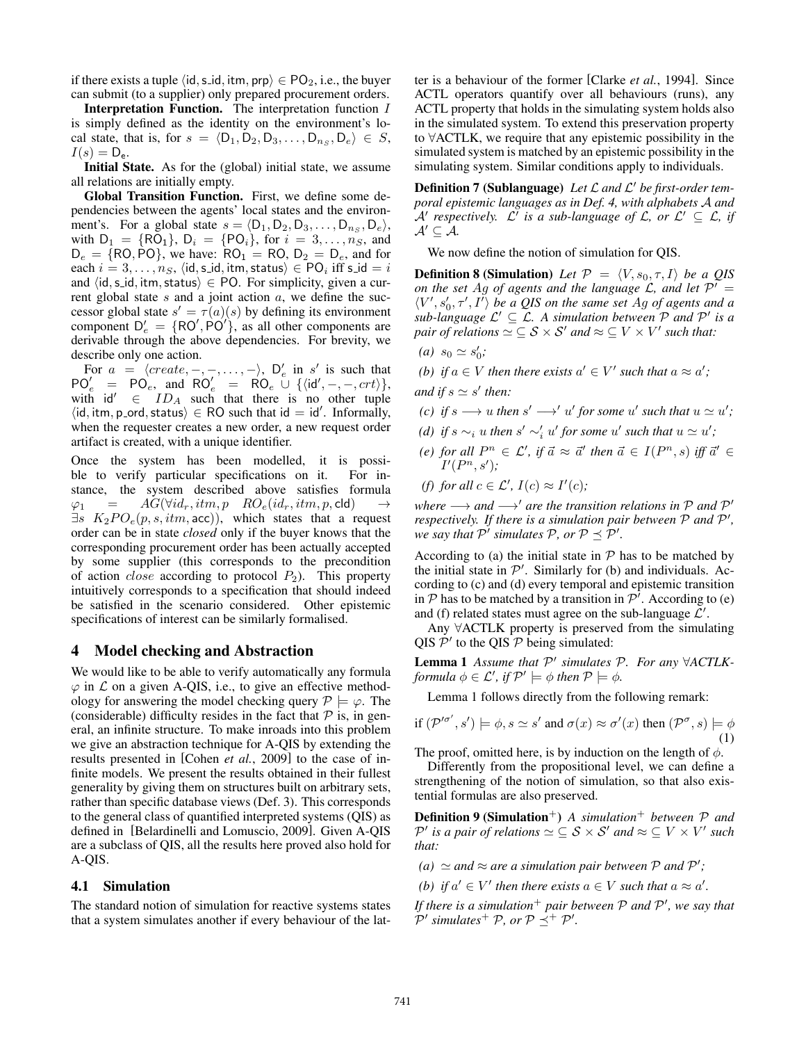if there exists a tuple  $\langle id, s \dot{-} id, \text{itm}, \text{prp} \rangle \in \text{PO}_2$ , i.e., the buyer can submit (to a supplier) only prepared procurement orders.

Interpretation Function. The interpretation function I is simply defined as the identity on the environment's local state, that is, for  $s = \langle D_1, D_2, D_3, \ldots, D_{n_s}, D_e \rangle \in S$ ,  $I(s) = D_e.$ 

Initial State. As for the (global) initial state, we assume all relations are initially empty.

Global Transition Function. First, we define some dependencies between the agents' local states and the environment's. For a global state  $s = \langle D_1, D_2, D_3, \ldots, D_{n_S}, D_e \rangle$ , with  $D_1 = \{RO_1\}$ ,  $D_i = \{PO_i\}$ , for  $i = 3, ..., n_S$ , and  $D_e = \{RO, PO\}$ , we have:  $RO_1 = RO, D_2 = D_e$ , and for each  $i = 3, \ldots, n_S$ ,  $\langle id, s \rangle$  id, itm, status  $\rangle \in \text{PO}_i$  iff s id  $i = i$ and  $\langle id, s \dot{=} id, itm, status \rangle \in PO$ . For simplicity, given a current global state  $s$  and a joint action  $a$ , we define the successor global state  $s' = \tau(a)(s)$  by defining its environment component  $D'_e = \{ RO', PO' \}$ , as all other components are derivable through the above dependencies. For brevity, we describe only one action.

For  $a = \langle create, -, -, \ldots, - \rangle$ ,  $D'_e$  in s' is such that  $PO_e' = PO_e$ , and  $RO_e' = RO_e$   $U \{ \langle id', -, -, crit \rangle \},$ with  $\mathsf{id}' \in ID_A$  such that there is no other tuple  $\langle id, \text{itm}, \text{p}_\text{ord}, \text{status} \rangle \in \text{RO}$  such that  $id = id'$ . Informally, when the requester creates a new order, a new request order artifact is created, with a unique identifier.

Once the system has been modelled, it is possible to verify particular specifications on it. For instance, the system described above satisfies formula  $\varphi_1$  =  $AG(\forall id_r, itm, p \quad RO_e(id_r, itm, p, \text{cld})$  $\exists s \ K_2PO_e(p, s, itm, acc)$ , which states that a request order can be in state *closed* only if the buyer knows that the corresponding procurement order has been actually accepted by some supplier (this corresponds to the precondition of action *close* according to protocol  $P_2$ ). This property intuitively corresponds to a specification that should indeed be satisfied in the scenario considered. Other epistemic specifications of interest can be similarly formalised.

#### 4 Model checking and Abstraction

We would like to be able to verify automatically any formula  $\varphi$  in  $\mathcal L$  on a given A-QIS, i.e., to give an effective methodology for answering the model checking query  $\mathcal{P} \models \varphi$ . The (considerable) difficulty resides in the fact that  $P$  is, in general, an infinite structure. To make inroads into this problem we give an abstraction technique for A-QIS by extending the results presented in [Cohen *et al.*, 2009] to the case of infinite models. We present the results obtained in their fullest generality by giving them on structures built on arbitrary sets, rather than specific database views (Def. 3). This corresponds to the general class of quantified interpreted systems (QIS) as defined in [Belardinelli and Lomuscio, 2009]. Given A-QIS are a subclass of QIS, all the results here proved also hold for A-QIS.

#### 4.1 Simulation

The standard notion of simulation for reactive systems states that a system simulates another if every behaviour of the latter is a behaviour of the former [Clarke *et al.*, 1994]. Since ACTL operators quantify over all behaviours (runs), any ACTL property that holds in the simulating system holds also in the simulated system. To extend this preservation property to ∀ACTLK, we require that any epistemic possibility in the simulated system is matched by an epistemic possibility in the simulating system. Similar conditions apply to individuals.

Definition 7 (Sublanguage) Let L and L' be first-order tem*poral epistemic languages as in Def. 4, with alphabets* A *and*  $A'$  respectively.  $\mathcal{L}'$  is a sub-language of  $\mathcal{L}$ , or  $\mathcal{L}' \subseteq \mathcal{L}$ , if  $\mathcal{A}' \subseteq \mathcal{A}$ .

We now define the notion of simulation for QIS.

**Definition 8 (Simulation)** Let  $P = \langle V, s_0, \tau, I \rangle$  be a QIS *on the set Ag of agents and the language L, and let*  $\mathcal{P}' =$  $\langle V', s'_0, \tau', I' \rangle$  be a QIS on the same set Ag of agents and a sub-language  $\mathcal{L}' \subseteq \mathcal{L}$ . A simulation between  $\mathcal P$  and  $\mathcal P'$  is a pair of relations  $\simeq \, \subseteq {\mathcal{S}} \times {\mathcal{S}}'$  and  $\approx \, \subseteq V \times V'$  such that:

(*a*)  $s_0 \simeq s'_0;$ 

*(b)* if  $a \in V$  then there exists  $a' \in V'$  such that  $a \approx a'$ ;

and if  $s \simeq s'$  then:

- *(c)* if  $s \longrightarrow u$  then  $s' \longrightarrow' u'$  for some  $u'$  such that  $u \simeq u'$ ;
- *(d)* if  $s \sim_i u$  then  $s' \sim'_i u'$  for some  $u'$  such that  $u \simeq u'$ ;
- *(e)* for all  $P^n \in \mathcal{L}'$ , if  $\vec{a} \approx \vec{a}'$  then  $\vec{a} \in I(P^n, s)$  iff  $\vec{a}' \in I$  $I'(P^n, s');$
- *(f)* for all  $c \in \mathcal{L}'$ ,  $I(c) \approx I'(c)$ ;

*where*  $\longrightarrow$  *and*  $\longrightarrow'$  *are the transition relations in*  $P$  *and*  $P'$ *respectively. If there is a simulation pair between*  $P$  *and*  $P'$ , *we say that*  $P'$  *simulates*  $P$ *, or*  $P \preceq P'$ *.* 

According to (a) the initial state in  $P$  has to be matched by the initial state in  $\mathcal{P}'$ . Similarly for (b) and individuals. According to (c) and (d) every temporal and epistemic transition in  $P$  has to be matched by a transition in  $P'$ . According to (e) and (f) related states must agree on the sub-language  $\mathcal{L}'$ .

Any ∀ACTLK property is preserved from the simulating QIS  $\mathcal{P}'$  to the QIS  $\mathcal P$  being simulated:

**Lemma 1** Assume that  $\mathcal{P}'$  simulates  $\mathcal{P}$ . For any ∀ACTLKformula  $\phi \in {\mathcal L}'$ , if  ${\mathcal P}' \models \phi$  then  ${\mathcal P} \models \phi$ .

Lemma 1 follows directly from the following remark:

if 
$$
(\mathcal{P}'^{\sigma'}, s') \models \phi, s \simeq s'
$$
 and  $\sigma(x) \approx \sigma'(x)$  then  $(\mathcal{P}^{\sigma}, s) \models \phi$   
(1)

The proof, omitted here, is by induction on the length of  $\phi$ .

Differently from the propositional level, we can define a strengthening of the notion of simulation, so that also existential formulas are also preserved.

Definition 9 (Simulation<sup>+</sup>) *A simulation*<sup>+</sup> *between* P *and*  $\mathcal{P}'$  *is a pair of relations*  $\simeq \ \subseteq \mathcal{S} \times \mathcal{S}'$  *and*  $\approx \ \subseteq V \times V'$  *such that:*

 $(a) \simeq$  and  $\approx$  are a simulation pair between  $P$  and  $P'$ ;

*(b)* if  $a' \in V'$  then there exists  $a \in V$  such that  $a \approx a'$ .

If there is a simulation<sup>+</sup> pair between  $P$  and  $P'$ , we say that  $\mathcal{P}'$  simulates<sup>+</sup>  $\mathcal{P}$ , or  $\mathcal{P} \preceq^+ \mathcal{P}'$ .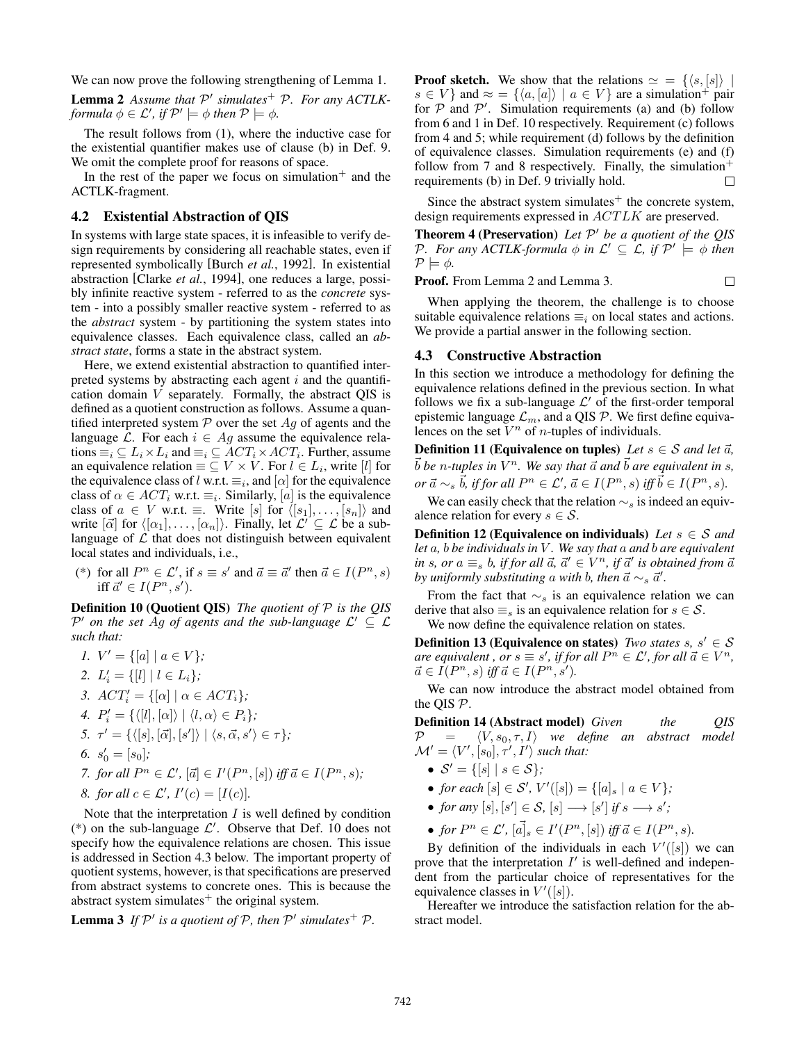We can now prove the following strengthening of Lemma 1.

Lemma 2 Assume that  $P'$  simulates<sup>+</sup> P. For any ACTLK*formula*  $\phi \in \mathcal{L}'$ *, if*  $\mathcal{P}' \models \phi$  *then*  $\mathcal{P} \models \phi$ .

The result follows from (1), where the inductive case for the existential quantifier makes use of clause (b) in Def. 9. We omit the complete proof for reasons of space.

In the rest of the paper we focus on simulation<sup>+</sup> and the ACTLK-fragment.

# 4.2 Existential Abstraction of QIS

In systems with large state spaces, it is infeasible to verify design requirements by considering all reachable states, even if represented symbolically [Burch *et al.*, 1992]. In existential abstraction [Clarke *et al.*, 1994], one reduces a large, possibly infinite reactive system - referred to as the *concrete* system - into a possibly smaller reactive system - referred to as the *abstract* system - by partitioning the system states into equivalence classes. Each equivalence class, called an *abstract state*, forms a state in the abstract system.

Here, we extend existential abstraction to quantified interpreted systems by abstracting each agent  $i$  and the quantification domain  $V$  separately. Formally, the abstract QIS is defined as a quotient construction as follows. Assume a quantified interpreted system  $P$  over the set  $Ag$  of agents and the language L. For each  $i \in Ag$  assume the equivalence relations  $\equiv_i \subseteq L_i \times L_i$  and  $\equiv_i \subseteq ACT_i \times ACT_i$ . Further, assume an equivalence relation  $\equiv \subseteq V \times V$ . For  $l \in L_i$ , write [l] for the equivalence class of l w.r.t.  $\equiv_i$ , and  $[\alpha]$  for the equivalence class of  $\alpha \in ACT_i$  w.r.t.  $\equiv_i$ . Similarly, [a] is the equivalence class of  $a \in V$  w.r.t.  $\equiv$ . Write  $[s]$  for  $\langle [s_1], \ldots, [s_n] \rangle$  and write  $[\vec{\alpha}]$  for  $\langle [\alpha_1], \ldots, [\alpha_n] \rangle$ . Finally, let  $\mathcal{L}' \subseteq \mathcal{L}$  be a sublanguage of  $\mathcal L$  that does not distinguish between equivalent local states and individuals, i.e.,

(\*) for all  $P^n \in \mathcal{L}'$ , if  $s \equiv s'$  and  $\vec{a} \equiv \vec{a}'$  then  $\vec{a} \in I(P^n, s)$ iff  $\vec{a}' \in I(P^n, s')$ .

Definition 10 (Quotient QIS) *The quotient of* P *is the QIS*  $\mathcal{P}'$  on the set Ag of agents and the sub-language  $\mathcal{L}' \subseteq \mathcal{L}$ *such that:*

*1.*  $V' = \{ [a] \mid a \in V \};\$ 2.  $L'_i = \{[l] \mid l \in L_i\};$ *3.*  $ACT'_i = \{ [\alpha] \mid \alpha \in ACT_i \};$ 4.  $P'_i = {\langle\langle [l], [\alpha]\rangle | \langle l, \alpha \rangle \in P_i\rangle};$ *5.*  $\tau' = \{ \langle [s], [\vec{\alpha}], [s'] \rangle \mid \langle s, \vec{\alpha}, s' \rangle \in \tau \};$ 6.  $s'_0 = [s_0]$ ; *7. for all*  $P^n \in \mathcal{L}'$ ,  $[\vec{a}] \in I'(P^n, [s])$  *iff*  $\vec{a} \in I(P^n, s)$ *; 8. for all*  $c \in \mathcal{L}'$ ,  $I'(c) = [I(c)]$ .

Note that the interpretation  $I$  is well defined by condition (\*) on the sub-language  $\mathcal{L}'$ . Observe that Def. 10 does not specify how the equivalence relations are chosen. This issue is addressed in Section 4.3 below. The important property of quotient systems, however, is that specifications are preserved from abstract systems to concrete ones. This is because the abstract system simulates $^+$  the original system.

**Lemma 3** If  $\mathcal{P}'$  is a quotient of  $\mathcal{P}$ , then  $\mathcal{P}'$  simulates<sup>+</sup>  $\mathcal{P}$ .

**Proof sketch.** We show that the relations  $\simeq$  = { $\langle s, [s] \rangle$  |  $s \in V$  } and  $\approx$  = { $\langle a, [a] \rangle \mid a \in V$ } are a simulation<sup>+</sup> pair for  $P$  and  $P'$ . Simulation requirements (a) and (b) follow from 6 and 1 in Def. 10 respectively. Requirement (c) follows from 4 and 5; while requirement (d) follows by the definition of equivalence classes. Simulation requirements (e) and (f) follow from 7 and 8 respectively. Finally, the simulation<sup>+</sup> requirements (b) in Def. 9 trivially hold.

Since the abstract system simulates $^+$  the concrete system, design requirements expressed in ACTLK are preserved.

**Theorem 4 (Preservation)** Let  $P'$  be a quotient of the QIS P. For any ACTLK-formula  $\phi$  in  $\mathcal{L}' \subseteq \mathcal{L}$ , if  $\mathcal{P}' \models \phi$  then  $P \models \phi$ .

 $\Box$ 

Proof. From Lemma 2 and Lemma 3.

When applying the theorem, the challenge is to choose suitable equivalence relations  $\equiv_i$  on local states and actions. We provide a partial answer in the following section.

#### 4.3 Constructive Abstraction

In this section we introduce a methodology for defining the equivalence relations defined in the previous section. In what follows we fix a sub-language  $\mathcal{L}'$  of the first-order temporal epistemic language  $\mathcal{L}_m$ , and a QIS  $\mathcal{P}$ . We first define equivalences on the set  $V^n$  of *n*-tuples of individuals.

**Definition 11 (Equivalence on tuples)** *Let*  $s \in S$  *and let*  $\vec{a}$ *,*  $\vec{b}$  be *n*-tuples in  $V^n$ . We say that  $\vec{a}$  and  $\vec{b}$  are equivalent in s,  $\rho r \, \vec{a} \sim_s \vec{b}$ , if for all  $P^n \in \mathcal{L}'$ ,  $\vec{a} \in I(P^n, s)$  iff  $\vec{b} \in I(P^n, s)$ .

We can easily check that the relation  $\sim$ s is indeed an equivalence relation for every  $s \in \mathcal{S}$ .

**Definition 12 (Equivalence on individuals)** *Let*  $s \in S$  *and let* a*,* b *be individuals in* V *. We say that* a *and* b *are equivalent in* s, or  $a \equiv_s b$ , *if for all*  $\vec{a}$ ,  $\vec{a}' \in V^n$ , *if*  $\vec{a}'$  *is obtained from*  $\vec{a}$ *by uniformly substituting a with b, then*  $\vec{a} \sim_s \vec{a}'$ *.* 

From the fact that  $\sim$ <sub>s</sub> is an equivalence relation we can derive that also  $\equiv$ <sub>s</sub> is an equivalence relation for  $s \in \mathcal{S}$ . We now define the equivalence relation on states.

**Definition 13 (Equivalence on states)** *Two states s, s'*  $\in$  *S*  $\alpha$  *are equivalent* ,  $\rho$  *r*  $s \equiv s'$ , *if for all*  $P^n \in \mathcal{L}'$ , for all  $\vec{a} \in V^n$ ,  $\vec{a} \in \hat{I}(P^n, s)$  iff  $\vec{a} \in I(P^n, s').$ 

We can now introduce the abstract model obtained from the QIS P.

Definition 14 (Abstract model) *Given the QIS*  $\mathcal{P}$  =  $\langle V, s_0, \tau, I \rangle$  *we define an abstract model*  $\mathcal{M}' = \langle V', [s_0], \tau', I' \rangle$  such that:

- $S' = \{ [s] \mid s \in S \};\$
- *for each*  $[s] \in S'$ ,  $V'([s]) = \{[a]_s \mid a \in V\}$ ;
- *for any*  $[s], [s'] \in S$ ,  $[s] \longrightarrow [s']$  *if*  $s \longrightarrow s'$ ;
- for  $P^n \in \mathcal{L}'$ ,  $[\vec{a}]_s \in I'(P^n, [s])$  iff  $\vec{a} \in I(P^n, s)$ .

By definition of the individuals in each  $V'([s])$  we can prove that the interpretation  $I'$  is well-defined and independent from the particular choice of representatives for the equivalence classes in  $V'([s])$ .

Hereafter we introduce the satisfaction relation for the abstract model.